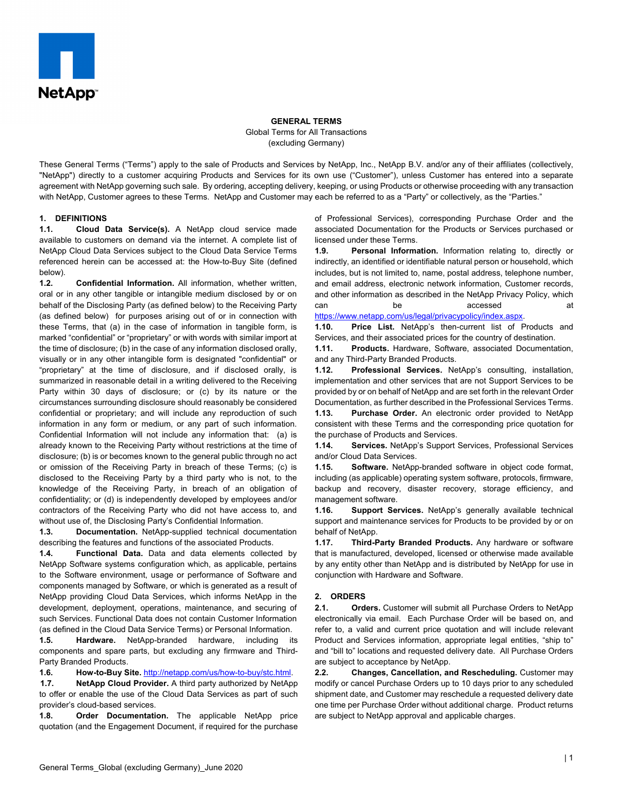

**GENERAL TERMS**

Global Terms for All Transactions

(excluding Germany)

These General Terms ("Terms") apply to the sale of Products and Services by NetApp, Inc., NetApp B.V. and/or any of their affiliates (collectively, "NetApp") directly to a customer acquiring Products and Services for its own use ("Customer"), unless Customer has entered into a separate agreement with NetApp governing such sale. By ordering, accepting delivery, keeping, or using Products or otherwise proceeding with any transaction with NetApp, Customer agrees to these Terms. NetApp and Customer may each be referred to as a "Party" or collectively, as the "Parties."

# **1. DEFINITIONS**

**1.1. Cloud Data Service(s).** A NetApp cloud service made available to customers on demand via the internet. A complete list of NetApp Cloud Data Services subject to the Cloud Data Service Terms referenced herein can be accessed at: the How-to-Buy Site (defined below).

**1.2. Confidential Information.** All information, whether written, oral or in any other tangible or intangible medium disclosed by or on behalf of the Disclosing Party (as defined below) to the Receiving Party (as defined below) for purposes arising out of or in connection with these Terms, that (a) in the case of information in tangible form, is marked "confidential" or "proprietary" or with words with similar import at the time of disclosure; (b) in the case of any information disclosed orally, visually or in any other intangible form is designated "confidential" or "proprietary" at the time of disclosure, and if disclosed orally, is summarized in reasonable detail in a writing delivered to the Receiving Party within 30 days of disclosure; or (c) by its nature or the circumstances surrounding disclosure should reasonably be considered confidential or proprietary; and will include any reproduction of such information in any form or medium, or any part of such information. Confidential Information will not include any information that: (a) is already known to the Receiving Party without restrictions at the time of disclosure; (b) is or becomes known to the general public through no act or omission of the Receiving Party in breach of these Terms; (c) is disclosed to the Receiving Party by a third party who is not, to the knowledge of the Receiving Party, in breach of an obligation of confidentiality; or (d) is independently developed by employees and/or contractors of the Receiving Party who did not have access to, and without use of, the Disclosing Party's Confidential Information.

**1.3. Documentation.** NetApp-supplied technical documentation describing the features and functions of the associated Products.

**1.4. Functional Data.** Data and data elements collected by NetApp Software systems configuration which, as applicable, pertains to the Software environment, usage or performance of Software and components managed by Software, or which is generated as a result of NetApp providing Cloud Data Services, which informs NetApp in the development, deployment, operations, maintenance, and securing of such Services. Functional Data does not contain Customer Information (as defined in the Cloud Data Service Terms) or Personal Information.

**1.5. Hardware.** NetApp-branded hardware, including its components and spare parts, but excluding any firmware and Third-Party Branded Products.

**1.6. How-to-Buy Site.** [http://netapp.com/us/how-to-buy/stc.html.](http://netapp.com/us/how-to-buy/stc.html)

**1.7. NetApp Cloud Provider.** A third party authorized by NetApp to offer or enable the use of the Cloud Data Services as part of such provider's cloud-based services.

**1.8. Order Documentation.** The applicable NetApp price quotation (and the Engagement Document, if required for the purchase of Professional Services), corresponding Purchase Order and the associated Documentation for the Products or Services purchased or licensed under these Terms.

**1.9. Personal Information.** Information relating to, directly or indirectly, an identified or identifiable natural person or household, which includes, but is not limited to, name, postal address, telephone number, and email address, electronic network information, Customer records, and other information as described in the NetApp Privacy Policy, which can be be accessed at

[https://www.netapp.com/us/legal/privacypolicy/index.aspx.](https://www.netapp.com/us/legal/privacypolicy/index.aspx)

**1.10. Price List.** NetApp's then-current list of Products and Services, and their associated prices for the country of destination.

**1.11. Products.** Hardware, Software, associated Documentation, and any Third-Party Branded Products.

**1.12. Professional Services.** NetApp's consulting, installation, implementation and other services that are not Support Services to be provided by or on behalf of NetApp and are set forth in the relevant Order Documentation, as further described in the Professional Services Terms. **1.13. Purchase Order.** An electronic order provided to NetApp

consistent with these Terms and the corresponding price quotation for the purchase of Products and Services.

**1.14. Services.** NetApp's Support Services, Professional Services and/or Cloud Data Services.

**1.15. Software.** NetApp-branded software in object code format, including (as applicable) operating system software, protocols, firmware, backup and recovery, disaster recovery, storage efficiency, and management software.

**1.16. Support Services.** NetApp's generally available technical support and maintenance services for Products to be provided by or on behalf of NetApp.

**1.17. Third-Party Branded Products.** Any hardware or software that is manufactured, developed, licensed or otherwise made available by any entity other than NetApp and is distributed by NetApp for use in conjunction with Hardware and Software.

# **2. ORDERS**

**2.1. Orders.** Customer will submit all Purchase Orders to NetApp electronically via email. Each Purchase Order will be based on, and refer to, a valid and current price quotation and will include relevant Product and Services information, appropriate legal entities, "ship to" and "bill to" locations and requested delivery date. All Purchase Orders are subject to acceptance by NetApp.

**2.2. Changes, Cancellation, and Rescheduling.** Customer may modify or cancel Purchase Orders up to 10 days prior to any scheduled shipment date, and Customer may reschedule a requested delivery date one time per Purchase Order without additional charge. Product returns are subject to NetApp approval and applicable charges.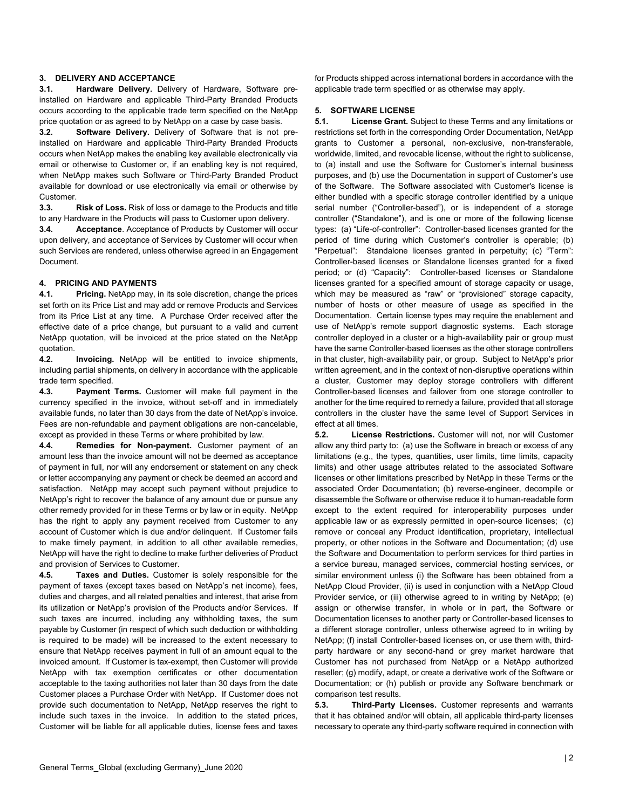# **3. DELIVERY AND ACCEPTANCE**

**3.1. Hardware Delivery.** Delivery of Hardware, Software preinstalled on Hardware and applicable Third-Party Branded Products occurs according to the applicable trade term specified on the NetApp price quotation or as agreed to by NetApp on a case by case basis.

**3.2. Software Delivery.** Delivery of Software that is not preinstalled on Hardware and applicable Third-Party Branded Products occurs when NetApp makes the enabling key available electronically via email or otherwise to Customer or, if an enabling key is not required, when NetApp makes such Software or Third-Party Branded Product available for download or use electronically via email or otherwise by **Customer** 

**3.3. Risk of Loss.** Risk of loss or damage to the Products and title to any Hardware in the Products will pass to Customer upon delivery.

**3.4. Acceptance**. Acceptance of Products by Customer will occur upon delivery, and acceptance of Services by Customer will occur when such Services are rendered, unless otherwise agreed in an Engagement Document.

# **4. PRICING AND PAYMENTS**

**4.1. Pricing.** NetApp may, in its sole discretion, change the prices set forth on its Price List and may add or remove Products and Services from its Price List at any time. A Purchase Order received after the effective date of a price change, but pursuant to a valid and current NetApp quotation, will be invoiced at the price stated on the NetApp quotation.

**4.2. Invoicing.** NetApp will be entitled to invoice shipments, including partial shipments, on delivery in accordance with the applicable trade term specified.

**4.3. Payment Terms.** Customer will make full payment in the currency specified in the invoice, without set-off and in immediately available funds, no later than 30 days from the date of NetApp's invoice. Fees are non-refundable and payment obligations are non-cancelable, except as provided in these Terms or where prohibited by law.

**4.4. Remedies for Non-payment.** Customer payment of an amount less than the invoice amount will not be deemed as acceptance of payment in full, nor will any endorsement or statement on any check or letter accompanying any payment or check be deemed an accord and satisfaction. NetApp may accept such payment without prejudice to NetApp's right to recover the balance of any amount due or pursue any other remedy provided for in these Terms or by law or in equity. NetApp has the right to apply any payment received from Customer to any account of Customer which is due and/or delinquent. If Customer fails to make timely payment, in addition to all other available remedies, NetApp will have the right to decline to make further deliveries of Product and provision of Services to Customer.

**4.5. Taxes and Duties.** Customer is solely responsible for the payment of taxes (except taxes based on NetApp's net income), fees, duties and charges, and all related penalties and interest, that arise from its utilization or NetApp's provision of the Products and/or Services. If such taxes are incurred, including any withholding taxes, the sum payable by Customer (in respect of which such deduction or withholding is required to be made) will be increased to the extent necessary to ensure that NetApp receives payment in full of an amount equal to the invoiced amount. If Customer is tax-exempt, then Customer will provide NetApp with tax exemption certificates or other documentation acceptable to the taxing authorities not later than 30 days from the date Customer places a Purchase Order with NetApp. If Customer does not provide such documentation to NetApp, NetApp reserves the right to include such taxes in the invoice. In addition to the stated prices, Customer will be liable for all applicable duties, license fees and taxes

for Products shipped across international borders in accordance with the applicable trade term specified or as otherwise may apply.

#### **5. SOFTWARE LICENSE**

**5.1. License Grant.** Subject to these Terms and any limitations or restrictions set forth in the corresponding Order Documentation, NetApp grants to Customer a personal, non-exclusive, non-transferable, worldwide, limited, and revocable license, without the right to sublicense, to (a) install and use the Software for Customer's internal business purposes, and (b) use the Documentation in support of Customer's use of the Software. The Software associated with Customer's license is either bundled with a specific storage controller identified by a unique serial number ("Controller-based"), or is independent of a storage controller ("Standalone"), and is one or more of the following license types: (a) "Life-of-controller": Controller-based licenses granted for the period of time during which Customer's controller is operable; (b) "Perpetual": Standalone licenses granted in perpetuity; (c) "Term": Controller-based licenses or Standalone licenses granted for a fixed period; or (d) "Capacity": Controller-based licenses or Standalone licenses granted for a specified amount of storage capacity or usage, which may be measured as "raw" or "provisioned" storage capacity, number of hosts or other measure of usage as specified in the Documentation. Certain license types may require the enablement and use of NetApp's remote support diagnostic systems. Each storage controller deployed in a cluster or a high-availability pair or group must have the same Controller-based licenses as the other storage controllers in that cluster, high-availability pair, or group. Subject to NetApp's prior written agreement, and in the context of non-disruptive operations within a cluster, Customer may deploy storage controllers with different Controller-based licenses and failover from one storage controller to another for the time required to remedy a failure, provided that all storage controllers in the cluster have the same level of Support Services in effect at all times.

**5.2. License Restrictions.** Customer will not, nor will Customer allow any third party to: (a) use the Software in breach or excess of any limitations (e.g., the types, quantities, user limits, time limits, capacity limits) and other usage attributes related to the associated Software licenses or other limitations prescribed by NetApp in these Terms or the associated Order Documentation; (b) reverse-engineer, decompile or disassemble the Software or otherwise reduce it to human-readable form except to the extent required for interoperability purposes under applicable law or as expressly permitted in open-source licenses; (c) remove or conceal any Product identification, proprietary, intellectual property, or other notices in the Software and Documentation; (d) use the Software and Documentation to perform services for third parties in a service bureau, managed services, commercial hosting services, or similar environment unless (i) the Software has been obtained from a NetApp Cloud Provider, (ii) is used in conjunction with a NetApp Cloud Provider service, or (iii) otherwise agreed to in writing by NetApp; (e) assign or otherwise transfer, in whole or in part, the Software or Documentation licenses to another party or Controller-based licenses to a different storage controller, unless otherwise agreed to in writing by NetApp; (f) install Controller-based licenses on, or use them with, thirdparty hardware or any second-hand or grey market hardware that Customer has not purchased from NetApp or a NetApp authorized reseller; (g) modify, adapt, or create a derivative work of the Software or Documentation; or (h) publish or provide any Software benchmark or comparison test results.

**5.3. Third-Party Licenses.** Customer represents and warrants that it has obtained and/or will obtain, all applicable third-party licenses necessary to operate any third-party software required in connection with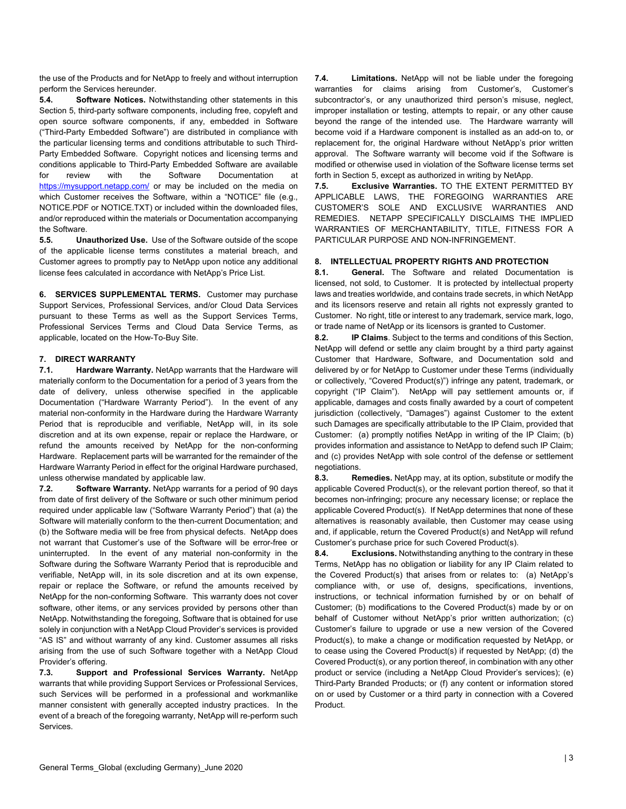the use of the Products and for NetApp to freely and without interruption perform the Services hereunder.

**5.4. Software Notices.** Notwithstanding other statements in this Section 5, third-party software components, including free, copyleft and open source software components, if any, embedded in Software ("Third-Party Embedded Software") are distributed in compliance with the particular licensing terms and conditions attributable to such Third-Party Embedded Software. Copyright notices and licensing terms and conditions applicable to Third-Party Embedded Software are available for review with the Software Documentation at <https://mysupport.netapp.com/> or may be included on the media on which Customer receives the Software, within a "NOTICE" file (e.g., NOTICE.PDF or NOTICE.TXT) or included within the downloaded files, and/or reproduced within the materials or Documentation accompanying the Software.

**5.5. Unauthorized Use.** Use of the Software outside of the scope of the applicable license terms constitutes a material breach, and Customer agrees to promptly pay to NetApp upon notice any additional license fees calculated in accordance with NetApp's Price List.

**6. SERVICES SUPPLEMENTAL TERMS.** Customer may purchase Support Services, Professional Services, and/or Cloud Data Services pursuant to these Terms as well as the Support Services Terms, Professional Services Terms and Cloud Data Service Terms, as applicable, located on the How-To-Buy Site.

# **7. DIRECT WARRANTY**

**7.1. Hardware Warranty.** NetApp warrants that the Hardware will materially conform to the Documentation for a period of 3 years from the date of delivery, unless otherwise specified in the applicable Documentation ("Hardware Warranty Period"). In the event of any material non-conformity in the Hardware during the Hardware Warranty Period that is reproducible and verifiable, NetApp will, in its sole discretion and at its own expense, repair or replace the Hardware, or refund the amounts received by NetApp for the non-conforming Hardware. Replacement parts will be warranted for the remainder of the Hardware Warranty Period in effect for the original Hardware purchased, unless otherwise mandated by applicable law.

**7.2. Software Warranty.** NetApp warrants for a period of 90 days from date of first delivery of the Software or such other minimum period required under applicable law ("Software Warranty Period") that (a) the Software will materially conform to the then-current Documentation; and (b) the Software media will be free from physical defects. NetApp does not warrant that Customer's use of the Software will be error-free or uninterrupted. In the event of any material non-conformity in the Software during the Software Warranty Period that is reproducible and verifiable, NetApp will, in its sole discretion and at its own expense, repair or replace the Software, or refund the amounts received by NetApp for the non-conforming Software. This warranty does not cover software, other items, or any services provided by persons other than NetApp. Notwithstanding the foregoing, Software that is obtained for use solely in conjunction with a NetApp Cloud Provider's services is provided "AS IS" and without warranty of any kind. Customer assumes all risks arising from the use of such Software together with a NetApp Cloud Provider's offering.

**7.3. Support and Professional Services Warranty.** NetApp warrants that while providing Support Services or Professional Services, such Services will be performed in a professional and workmanlike manner consistent with generally accepted industry practices. In the event of a breach of the foregoing warranty, NetApp will re-perform such **Services** 

**7.4. Limitations.** NetApp will not be liable under the foregoing warranties for claims arising from Customer's, Customer's subcontractor's, or any unauthorized third person's misuse, neglect, improper installation or testing, attempts to repair, or any other cause beyond the range of the intended use. The Hardware warranty will become void if a Hardware component is installed as an add-on to, or replacement for, the original Hardware without NetApp's prior written approval. The Software warranty will become void if the Software is modified or otherwise used in violation of the Software license terms set forth in Section 5, except as authorized in writing by NetApp.

**7.5. Exclusive Warranties.** TO THE EXTENT PERMITTED BY APPLICABLE LAWS, THE FOREGOING WARRANTIES ARE CUSTOMER'S SOLE AND EXCLUSIVE WARRANTIES AND REMEDIES. NETAPP SPECIFICALLY DISCLAIMS THE IMPLIED WARRANTIES OF MERCHANTABILITY, TITLE, FITNESS FOR A PARTICULAR PURPOSE AND NON-INFRINGEMENT.

# **8. INTELLECTUAL PROPERTY RIGHTS AND PROTECTION**

**8.1. General.** The Software and related Documentation is licensed, not sold, to Customer. It is protected by intellectual property laws and treaties worldwide, and contains trade secrets, in which NetApp and its licensors reserve and retain all rights not expressly granted to Customer. No right, title or interest to any trademark, service mark, logo, or trade name of NetApp or its licensors is granted to Customer.

**8.2. IP Claims**. Subject to the terms and conditions of this Section, NetApp will defend or settle any claim brought by a third party against Customer that Hardware, Software, and Documentation sold and delivered by or for NetApp to Customer under these Terms (individually or collectively, "Covered Product(s)") infringe any patent, trademark, or copyright ("IP Claim"). NetApp will pay settlement amounts or, if applicable, damages and costs finally awarded by a court of competent jurisdiction (collectively, "Damages") against Customer to the extent such Damages are specifically attributable to the IP Claim, provided that Customer: (a) promptly notifies NetApp in writing of the IP Claim; (b) provides information and assistance to NetApp to defend such IP Claim; and (c) provides NetApp with sole control of the defense or settlement negotiations.

**8.3. Remedies.** NetApp may, at its option, substitute or modify the applicable Covered Product(s), or the relevant portion thereof, so that it becomes non-infringing; procure any necessary license; or replace the applicable Covered Product(s). If NetApp determines that none of these alternatives is reasonably available, then Customer may cease using and, if applicable, return the Covered Product(s) and NetApp will refund Customer's purchase price for such Covered Product(s).

**8.4. Exclusions.** Notwithstanding anything to the contrary in these Terms, NetApp has no obligation or liability for any IP Claim related to the Covered Product(s) that arises from or relates to: (a) NetApp's compliance with, or use of, designs, specifications, inventions, instructions, or technical information furnished by or on behalf of Customer; (b) modifications to the Covered Product(s) made by or on behalf of Customer without NetApp's prior written authorization; (c) Customer's failure to upgrade or use a new version of the Covered Product(s), to make a change or modification requested by NetApp, or to cease using the Covered Product(s) if requested by NetApp; (d) the Covered Product(s), or any portion thereof, in combination with any other product or service (including a NetApp Cloud Provider's services); (e) Third-Party Branded Products; or (f) any content or information stored on or used by Customer or a third party in connection with a Covered Product.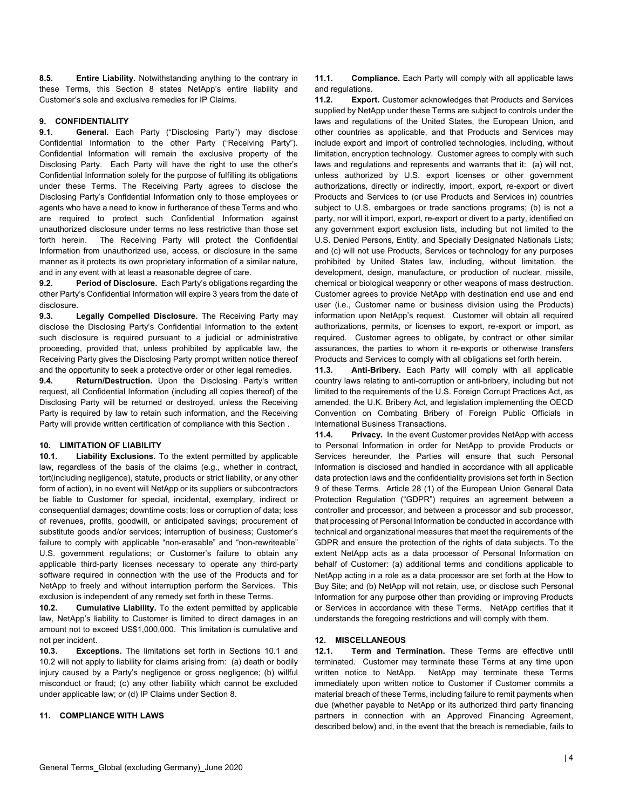**8.5. Entire Liability.** Notwithstanding anything to the contrary in these Terms, this Section 8 states NetApp's entire liability and Customer's sole and exclusive remedies for IP Claims.

# **9. CONFIDENTIALITY**

**9.1. General.** Each Party ("Disclosing Party") may disclose Confidential Information to the other Party ("Receiving Party"). Confidential Information will remain the exclusive property of the Disclosing Party. Each Party will have the right to use the other's Confidential Information solely for the purpose of fulfilling its obligations under these Terms. The Receiving Party agrees to disclose the Disclosing Party's Confidential Information only to those employees or agents who have a need to know in furtherance of these Terms and who are required to protect such Confidential Information against unauthorized disclosure under terms no less restrictive than those set forth herein. The Receiving Party will protect the Confidential Information from unauthorized use, access, or disclosure in the same manner as it protects its own proprietary information of a similar nature, and in any event with at least a reasonable degree of care.

**9.2. Period of Disclosure.** Each Party's obligations regarding the other Party's Confidential Information will expire 3 years from the date of disclosure.

**9.3. Legally Compelled Disclosure.** The Receiving Party may disclose the Disclosing Party's Confidential Information to the extent such disclosure is required pursuant to a judicial or administrative proceeding, provided that, unless prohibited by applicable law, the Receiving Party gives the Disclosing Party prompt written notice thereof and the opportunity to seek a protective order or other legal remedies.

**9.4. Return/Destruction.** Upon the Disclosing Party's written request, all Confidential Information (including all copies thereof) of the Disclosing Party will be returned or destroyed, unless the Receiving Party is required by law to retain such information, and the Receiving Party will provide written certification of compliance with this Section .

# **10. LIMITATION OF LIABILITY**

**Liability Exclusions.** To the extent permitted by applicable law, regardless of the basis of the claims (e.g., whether in contract, tort(including negligence), statute, products or strict liability, or any other form of action), in no event will NetApp or its suppliers or subcontractors be liable to Customer for special, incidental, exemplary, indirect or consequential damages; downtime costs; loss or corruption of data; loss of revenues, profits, goodwill, or anticipated savings; procurement of substitute goods and/or services; interruption of business; Customer's failure to comply with applicable "non-erasable" and "non-rewriteable" U.S. government regulations; or Customer's failure to obtain any applicable third-party licenses necessary to operate any third-party software required in connection with the use of the Products and for NetApp to freely and without interruption perform the Services. This exclusion is independent of any remedy set forth in these Terms.

**10.2. Cumulative Liability.** To the extent permitted by applicable law, NetApp's liability to Customer is limited to direct damages in an amount not to exceed US\$1,000,000. This limitation is cumulative and not per incident.

**10.3. Exceptions.** The limitations set forth in Sections 10.1 and 10.2 will not apply to liability for claims arising from: (a) death or bodily injury caused by a Party's negligence or gross negligence; (b) willful misconduct or fraud; (c) any other liability which cannot be excluded under applicable law; or (d) IP Claims under Section 8.

# **11. COMPLIANCE WITH LAWS**

**11.1. Compliance.** Each Party will comply with all applicable laws and regulations.

**11.2. Export.** Customer acknowledges that Products and Services supplied by NetApp under these Terms are subject to controls under the laws and regulations of the United States, the European Union, and other countries as applicable, and that Products and Services may include export and import of controlled technologies, including, without limitation, encryption technology. Customer agrees to comply with such laws and regulations and represents and warrants that it: (a) will not, unless authorized by U.S. export licenses or other government authorizations, directly or indirectly, import, export, re-export or divert Products and Services to (or use Products and Services in) countries subject to U.S. embargoes or trade sanctions programs; (b) is not a party, nor will it import, export, re-export or divert to a party, identified on any government export exclusion lists, including but not limited to the U.S. Denied Persons, Entity, and Specially Designated Nationals Lists; and (c) will not use Products, Services or technology for any purposes prohibited by United States law, including, without limitation, the development, design, manufacture, or production of nuclear, missile, chemical or biological weaponry or other weapons of mass destruction. Customer agrees to provide NetApp with destination end use and end user (i.e., Customer name or business division using the Products) information upon NetApp's request. Customer will obtain all required authorizations, permits, or licenses to export, re-export or import, as required. Customer agrees to obligate, by contract or other similar assurances, the parties to whom it re-exports or otherwise transfers Products and Services to comply with all obligations set forth herein.

**11.3. Anti-Bribery.** Each Party will comply with all applicable country laws relating to anti-corruption or anti-bribery, including but not limited to the requirements of the U.S. Foreign Corrupt Practices Act, as amended, the U.K. Bribery Act, and legislation implementing the OECD Convention on Combating Bribery of Foreign Public Officials in International Business Transactions.

**11.4. Privacy.** In the event Customer provides NetApp with access to Personal Information in order for NetApp to provide Products or Services hereunder, the Parties will ensure that such Personal Information is disclosed and handled in accordance with all applicable data protection laws and the confidentiality provisions set forth in Section 9 of these Terms. Article 28 (1) of the European Union General Data Protection Regulation ("GDPR") requires an agreement between a controller and processor, and between a processor and sub processor, that processing of Personal Information be conducted in accordance with technical and organizational measures that meet the requirements of the GDPR and ensure the protection of the rights of data subjects. To the extent NetApp acts as a data processor of Personal Information on behalf of Customer: (a) additional terms and conditions applicable to NetApp acting in a role as a data processor are set forth at the How to Buy Site; and (b) NetApp will not retain, use, or disclose such Personal Information for any purpose other than providing or improving Products or Services in accordance with these Terms. NetApp certifies that it understands the foregoing restrictions and will comply with them.

# **12. MISCELLANEOUS**

**Term and Termination.** These Terms are effective until terminated. Customer may terminate these Terms at any time upon written notice to NetApp. NetApp may terminate these Terms immediately upon written notice to Customer if Customer commits a material breach of these Terms, including failure to remit payments when due (whether payable to NetApp or its authorized third party financing partners in connection with an Approved Financing Agreement, described below) and, in the event that the breach is remediable, fails to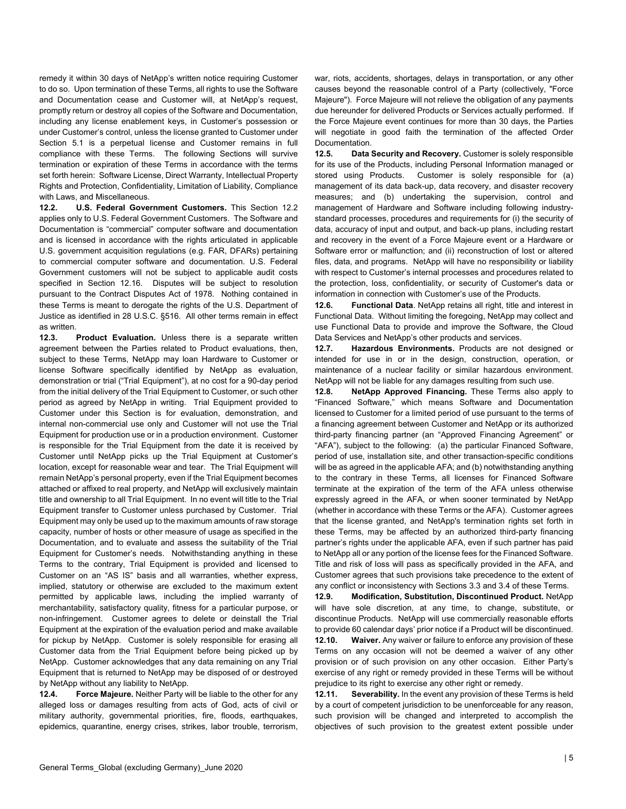remedy it within 30 days of NetApp's written notice requiring Customer to do so. Upon termination of these Terms, all rights to use the Software and Documentation cease and Customer will, at NetApp's request, promptly return or destroy all copies of the Software and Documentation, including any license enablement keys, in Customer's possession or under Customer's control, unless the license granted to Customer under Section 5.1 is a perpetual license and Customer remains in full compliance with these Terms. The following Sections will survive termination or expiration of these Terms in accordance with the terms set forth herein: Software License, Direct Warranty, Intellectual Property Rights and Protection, Confidentiality, Limitation of Liability, Compliance with Laws, and Miscellaneous.

**12.2. U.S. Federal Government Customers.** This Section 12.2 applies only to U.S. Federal Government Customers. The Software and Documentation is "commercial" computer software and documentation and is licensed in accordance with the rights articulated in applicable U.S. government acquisition regulations (e.g. FAR, DFARs) pertaining to commercial computer software and documentation. U.S. Federal Government customers will not be subject to applicable audit costs specified in Section 12.16. Disputes will be subject to resolution pursuant to the Contract Disputes Act of 1978. Nothing contained in these Terms is meant to derogate the rights of the U.S. Department of Justice as identified in 28 U.S.C. §516. All other terms remain in effect as written.

**12.3. Product Evaluation.** Unless there is a separate written agreement between the Parties related to Product evaluations, then, subject to these Terms, NetApp may loan Hardware to Customer or license Software specifically identified by NetApp as evaluation, demonstration or trial ("Trial Equipment"), at no cost for a 90-day period from the initial delivery of the Trial Equipment to Customer, or such other period as agreed by NetApp in writing. Trial Equipment provided to Customer under this Section is for evaluation, demonstration, and internal non-commercial use only and Customer will not use the Trial Equipment for production use or in a production environment. Customer is responsible for the Trial Equipment from the date it is received by Customer until NetApp picks up the Trial Equipment at Customer's location, except for reasonable wear and tear. The Trial Equipment will remain NetApp's personal property, even if the Trial Equipment becomes attached or affixed to real property, and NetApp will exclusively maintain title and ownership to all Trial Equipment. In no event will title to the Trial Equipment transfer to Customer unless purchased by Customer. Trial Equipment may only be used up to the maximum amounts of raw storage capacity, number of hosts or other measure of usage as specified in the Documentation, and to evaluate and assess the suitability of the Trial Equipment for Customer's needs. Notwithstanding anything in these Terms to the contrary, Trial Equipment is provided and licensed to Customer on an "AS IS" basis and all warranties, whether express, implied, statutory or otherwise are excluded to the maximum extent permitted by applicable laws, including the implied warranty of merchantability, satisfactory quality, fitness for a particular purpose, or non-infringement. Customer agrees to delete or deinstall the Trial Equipment at the expiration of the evaluation period and make available for pickup by NetApp. Customer is solely responsible for erasing all Customer data from the Trial Equipment before being picked up by NetApp. Customer acknowledges that any data remaining on any Trial Equipment that is returned to NetApp may be disposed of or destroyed by NetApp without any liability to NetApp.

**12.4. Force Majeure.** Neither Party will be liable to the other for any alleged loss or damages resulting from acts of God, acts of civil or military authority, governmental priorities, fire, floods, earthquakes, epidemics, quarantine, energy crises, strikes, labor trouble, terrorism,

war, riots, accidents, shortages, delays in transportation, or any other causes beyond the reasonable control of a Party (collectively, "Force Majeure"). Force Majeure will not relieve the obligation of any payments due hereunder for delivered Products or Services actually performed. If the Force Majeure event continues for more than 30 days, the Parties will negotiate in good faith the termination of the affected Order Documentation.

**12.5. Data Security and Recovery.** Customer is solely responsible for its use of the Products, including Personal Information managed or stored using Products. Customer is solely responsible for (a) management of its data back-up, data recovery, and disaster recovery measures; and (b) undertaking the supervision, control and management of Hardware and Software including following industrystandard processes, procedures and requirements for (i) the security of data, accuracy of input and output, and back-up plans, including restart and recovery in the event of a Force Majeure event or a Hardware or Software error or malfunction; and (ii) reconstruction of lost or altered files, data, and programs. NetApp will have no responsibility or liability with respect to Customer's internal processes and procedures related to the protection, loss, confidentiality, or security of Customer's data or information in connection with Customer's use of the Products.

**12.6. Functional Data**. NetApp retains all right, title and interest in Functional Data. Without limiting the foregoing, NetApp may collect and use Functional Data to provide and improve the Software, the Cloud Data Services and NetApp's other products and services.

**12.7. Hazardous Environments.** Products are not designed or intended for use in or in the design, construction, operation, or maintenance of a nuclear facility or similar hazardous environment. NetApp will not be liable for any damages resulting from such use.

**12.8. NetApp Approved Financing.** These Terms also apply to "Financed Software," which means Software and Documentation licensed to Customer for a limited period of use pursuant to the terms of a financing agreement between Customer and NetApp or its authorized third-party financing partner (an "Approved Financing Agreement" or "AFA"), subject to the following: (a) the particular Financed Software, period of use, installation site, and other transaction-specific conditions will be as agreed in the applicable AFA; and (b) notwithstanding anything to the contrary in these Terms, all licenses for Financed Software terminate at the expiration of the term of the AFA unless otherwise expressly agreed in the AFA, or when sooner terminated by NetApp (whether in accordance with these Terms or the AFA). Customer agrees that the license granted, and NetApp's termination rights set forth in these Terms, may be affected by an authorized third-party financing partner's rights under the applicable AFA, even if such partner has paid to NetApp all or any portion of the license fees for the Financed Software. Title and risk of loss will pass as specifically provided in the AFA, and Customer agrees that such provisions take precedence to the extent of any conflict or inconsistency with Sections 3.3 and 3.4 of these Terms.

**12.9. Modification, Substitution, Discontinued Product.** NetApp will have sole discretion, at any time, to change, substitute, or discontinue Products. NetApp will use commercially reasonable efforts to provide 60 calendar days' prior notice if a Product will be discontinued. **12.10. Waiver.** Any waiver or failure to enforce any provision of these Terms on any occasion will not be deemed a waiver of any other provision or of such provision on any other occasion. Either Party's exercise of any right or remedy provided in these Terms will be without prejudice to its right to exercise any other right or remedy.

**12.11. Severability.** In the event any provision of these Terms is held by a court of competent jurisdiction to be unenforceable for any reason, such provision will be changed and interpreted to accomplish the objectives of such provision to the greatest extent possible under